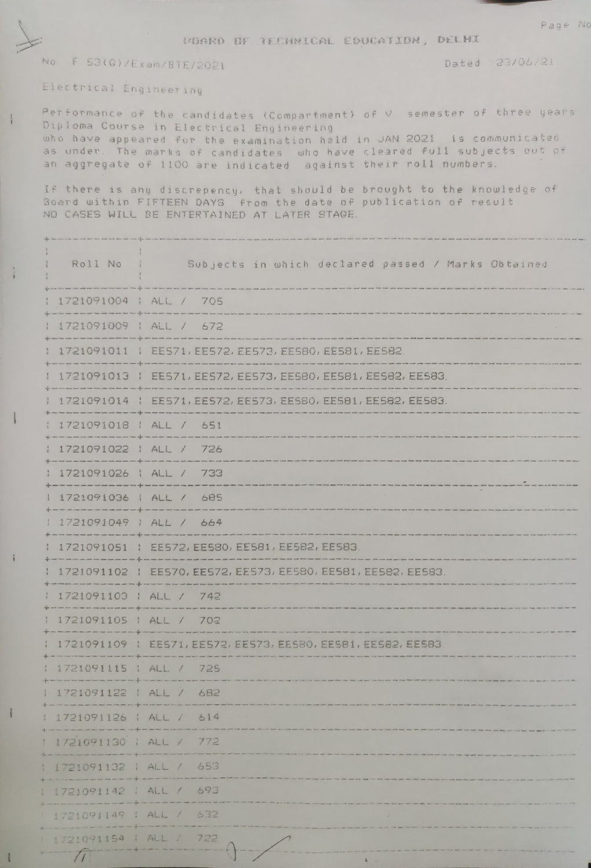DEGRO OF TECHNICAL EDUCATION, DELHI

## No F 53(G)/Exam/BTE/2021

Dated 23/06/21

Electrical Engineering

 $\frac{1}{2}$ 

 $\mathbf{i}$ 

 $\mathbf{I}$ 

 $\frac{3}{2}$ 

Performance of the candidates (Compartment) of V semester of three years Diploma Course in Electrical Engineering who have appeared for the examination held in JAN 2021 is communicated as under. The marks of candidates who have cleared full subjects out of an aggregate of 1100 are indicated against their roll numbers.

If there is any discrepency, that should be brought to the knowledge of Board within FIFTEEN DAYS from the date of publication of result NO CASES WILL BE ENTERTAINED AT LATER STAGE.

| Roll No                                                                                                        | Subjects in which declared passed / Marks Obtained              |
|----------------------------------------------------------------------------------------------------------------|-----------------------------------------------------------------|
| : 1721091004 : ALL / 705                                                                                       |                                                                 |
| 1721091009   ALL / 672                                                                                         |                                                                 |
|                                                                                                                | : 1721091011 : EES71, EES72, EES73, EES80, EES81, EES82         |
|                                                                                                                | 1721091013   EES71, EES72, EES73, EES80, EES81, EES82, EES83.   |
|                                                                                                                | 1 1721091014   EES71, EES72, EES73, EES80, EES81, EES82, EES83. |
| 1721091018   ALL / 651                                                                                         |                                                                 |
| 1721091022   ALL / 726                                                                                         |                                                                 |
| : 1721091026 : ALL / 733<br>-----------------------------                                                      |                                                                 |
| 1 1721091036   ALL / 685<br>de son un concernance con un seguito seguito de construir con con un construir con |                                                                 |
| 1721091049   ALL / 664<br>the party limit is the local district and with                                       |                                                                 |
|                                                                                                                | 1721091051 : EE572, EE580, EE581, EE582, EE583.                 |
|                                                                                                                | 1721091102   EES70, EES72, EES73, EES80, EES81, EES82, EES83.   |
| $1721091103$ $1$ ALL / 742                                                                                     |                                                                 |
| 1721091105   ALL / 702                                                                                         |                                                                 |
|                                                                                                                | 1 1721091109 : EES71, EES72, EES73, EES80, EES81, EES82, EES83  |
| 1721091115 : ALL / 725                                                                                         |                                                                 |
| 1721091122   ALL / 682                                                                                         |                                                                 |
| 1721091126   ALL / 614                                                                                         |                                                                 |
| $1721091130$   ALL /                                                                                           | 772                                                             |
| 1721091132   ALL / 653                                                                                         |                                                                 |
| 1721091142   ALL /                                                                                             | 693                                                             |
| 1721091149 : ALL /                                                                                             | 532                                                             |
| 1721091154   ALL /                                                                                             | 722                                                             |
| $\frac{1}{\sqrt{1}}$                                                                                           | $\mathbf{1} \quad \Rightarrow \quad$                            |